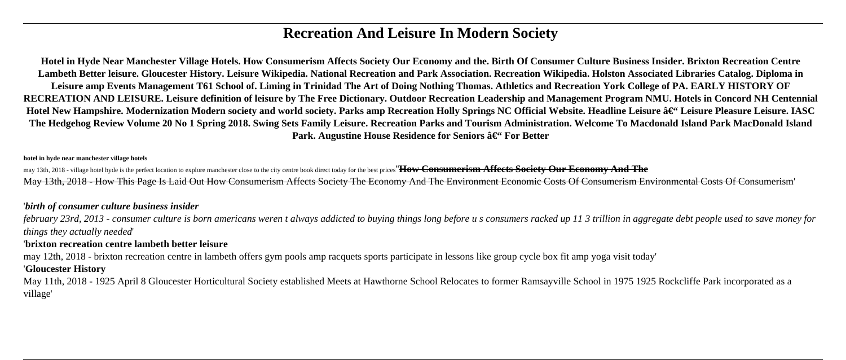# **Recreation And Leisure In Modern Society**

**Hotel in Hyde Near Manchester Village Hotels. How Consumerism Affects Society Our Economy and the. Birth Of Consumer Culture Business Insider. Brixton Recreation Centre Lambeth Better leisure. Gloucester History. Leisure Wikipedia. National Recreation and Park Association. Recreation Wikipedia. Holston Associated Libraries Catalog. Diploma in Leisure amp Events Management T61 School of. Liming in Trinidad The Art of Doing Nothing Thomas. Athletics and Recreation York College of PA. EARLY HISTORY OF RECREATION AND LEISURE. Leisure definition of leisure by The Free Dictionary. Outdoor Recreation Leadership and Management Program NMU. Hotels in Concord NH Centennial** Hotel New Hampshire. Modernization Modern society and world society. Parks amp Recreation Holly Springs NC Official Website. Headline Leisure â€" Leisure Pleasure Leisure. IASC **The Hedgehog Review Volume 20 No 1 Spring 2018. Swing Sets Family Leisure. Recreation Parks and Tourism Administration. Welcome To Macdonald Island Park MacDonald Island** Park. Augustine House Residence for Seniors – For Better

#### **hotel in hyde near manchester village hotels**

may 13th, 2018 - village hotel hyde is the perfect location to explore manchester close to the city centre book direct today for the best prices''How Consumerism Affects Society Our Economy And The May 13th, 2018 - How This Page Is Laid Out How Consumerism Affects Society The Economy And The Environment Economic Costs Of Consumerism Environmental Costs Of Consumerism'

#### '*birth of consumer culture business insider*

*february 23rd, 2013 - consumer culture is born americans weren t always addicted to buying things long before u s consumers racked up 11 3 trillion in aggregate debt people used to save money for things they actually needed*'

#### '**brixton recreation centre lambeth better leisure**

may 12th, 2018 - brixton recreation centre in lambeth offers gym pools amp racquets sports participate in lessons like group cycle box fit amp yoga visit today'

## '**Gloucester History**

May 11th, 2018 - 1925 April 8 Gloucester Horticultural Society established Meets at Hawthorne School Relocates to former Ramsayville School in 1975 1925 Rockcliffe Park incorporated as a village'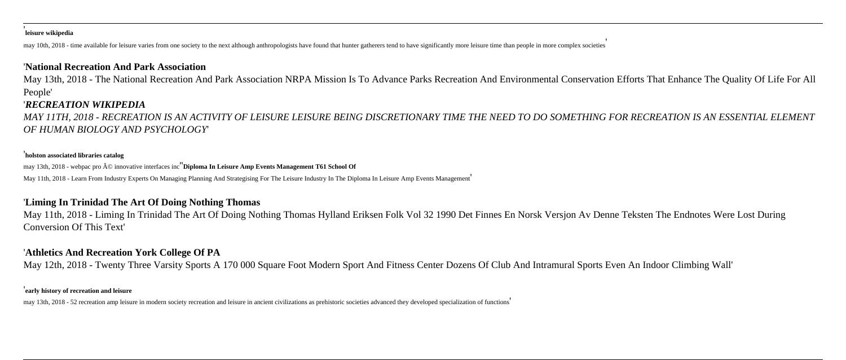#### ' **leisure wikipedia**

may 10th, 2018 - time available for leisure varies from one society to the next although anthropologists have found that hunter gatherers tend to have significantly more leisure time than people in more complex societies'

#### '**National Recreation And Park Association**

May 13th, 2018 - The National Recreation And Park Association NRPA Mission Is To Advance Parks Recreation And Environmental Conservation Efforts That Enhance The Quality Of Life For All People'

#### '*RECREATION WIKIPEDIA*

*MAY 11TH, 2018 - RECREATION IS AN ACTIVITY OF LEISURE LEISURE BEING DISCRETIONARY TIME THE NEED TO DO SOMETHING FOR RECREATION IS AN ESSENTIAL ELEMENT OF HUMAN BIOLOGY AND PSYCHOLOGY*'

#### '**holston associated libraries catalog**

may 13th, 2018 - webpac pro © innovative interfaces inc<sup>"</sup>Diploma In Leisure Amp Events Management T61 School Of

May 11th, 2018 - Learn From Industry Experts On Managing Planning And Strategising For The Leisure Industry In The Diploma In Leisure Amp Events Management'

### '**Liming In Trinidad The Art Of Doing Nothing Thomas**

May 11th, 2018 - Liming In Trinidad The Art Of Doing Nothing Thomas Hylland Eriksen Folk Vol 32 1990 Det Finnes En Norsk Versjon Av Denne Teksten The Endnotes Were Lost During Conversion Of This Text'

### '**Athletics And Recreation York College Of PA**

May 12th, 2018 - Twenty Three Varsity Sports A 170 000 Square Foot Modern Sport And Fitness Center Dozens Of Club And Intramural Sports Even An Indoor Climbing Wall'

#### '**early history of recreation and leisure**

may 13th, 2018 - 52 recreation amp leisure in modern society recreation and leisure in ancient civilizations as prehistoric societies advanced they developed specialization of functions'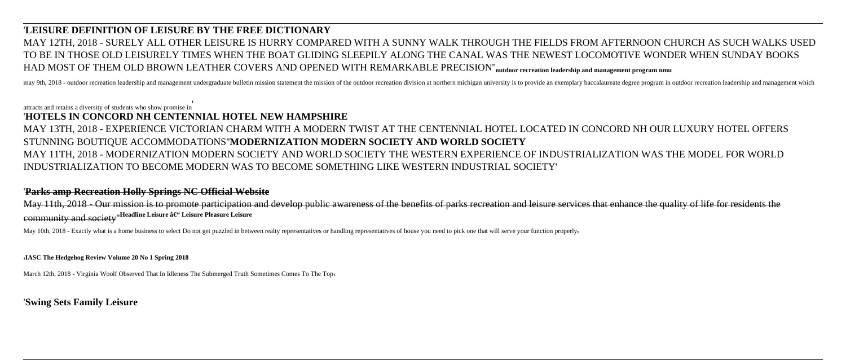## '**LEISURE DEFINITION OF LEISURE BY THE FREE DICTIONARY** MAY 12TH, 2018 - SURELY ALL OTHER LEISURE IS HURRY COMPARED WITH A SUNNY WALK THROUGH THE FIELDS FROM AFTERNOON CHURCH AS SUCH WALKS USED TO BE IN THOSE OLD LEISURELY TIMES WHEN THE BOAT GLIDING SLEEPILY ALONG THE CANAL WAS THE NEWEST LOCOMOTIVE WONDER WHEN SUNDAY BOOKS HAD MOST OF THEM OLD BROWN LEATHER COVERS AND OPENED WITH REMARKABLE PRECISION''**outdoor recreation leadership and management program nmu**

may 9th, 2018 - outdoor recreation leadership and management undergraduate bulletin mission statement the mission of the outdoor recreation division at northern michigan university is to provide an exemplary baccalaureate

attracts and retains a diversity of students who show promise in'

#### '**HOTELS IN CONCORD NH CENTENNIAL HOTEL NEW HAMPSHIRE**

## MAY 13TH, 2018 - EXPERIENCE VICTORIAN CHARM WITH A MODERN TWIST AT THE CENTENNIAL HOTEL LOCATED IN CONCORD NH OUR LUXURY HOTEL OFFERS STUNNING BOUTIQUE ACCOMMODATIONS''**MODERNIZATION MODERN SOCIETY AND WORLD SOCIETY** MAY 11TH, 2018 - MODERNIZATION MODERN SOCIETY AND WORLD SOCIETY THE WESTERN EXPERIENCE OF INDUSTRIALIZATION WAS THE MODEL FOR WORLD

# INDUSTRIALIZATION TO BECOME MODERN WAS TO BECOME SOMETHING LIKE WESTERN INDUSTRIAL SOCIETY'

#### '**Parks amp Recreation Holly Springs NC Official Website**

May 11th, 2018 - Our mission is to promote participation and develop public awareness of the benefits of parks recreation and leisure services that enhance the quality of life for residents the community and society<sup>"</sup>Headline Leisure â€" Leisure Pleasure Leisure

May 10th, 2018 - Exactly what is a home business to select Do not get puzzled in between realty representatives or handling representatives of house you need to pick one that will serve your function properly.

'**IASC The Hedgehog Review Volume 20 No 1 Spring 2018**

March 12th, 2018 - Virginia Woolf Observed That In Idleness The Submerged Truth Sometimes Comes To The Top

'**Swing Sets Family Leisure**